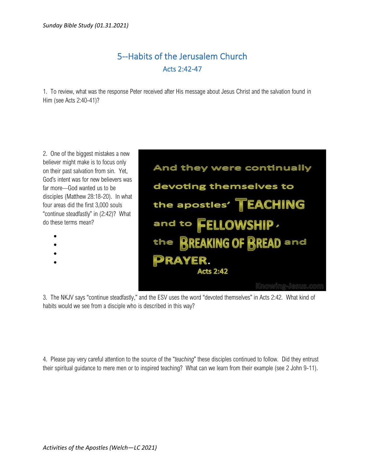## 5--Habits of the Jerusalem Church Acts 2:42-47

1. To review, what was the response Peter received after His message about Jesus Christ and the salvation found in Him (see Acts 2:40-41)?

2. One of the biggest mistakes a new believer might make is to focus only on their past salvation from sin. Yet, God's intent was for new believers was far more—God wanted us to be disciples (Matthew 28:18-20). In what four areas did the first 3,000 souls "continue steadfastly" in (2:42)? What do these terms mean?

- •
- •
- •
- •



3. The NKJV says "continue steadfastly," and the ESV uses the word "devoted themselves" in Acts 2:42. What kind of habits would we see from a disciple who is described in this way?

4. Please pay very careful attention to the source of the "*teaching*" these disciples continued to follow. Did they entrust their spiritual guidance to mere men or to inspired teaching? What can we learn from their example (see 2 John 9-11).